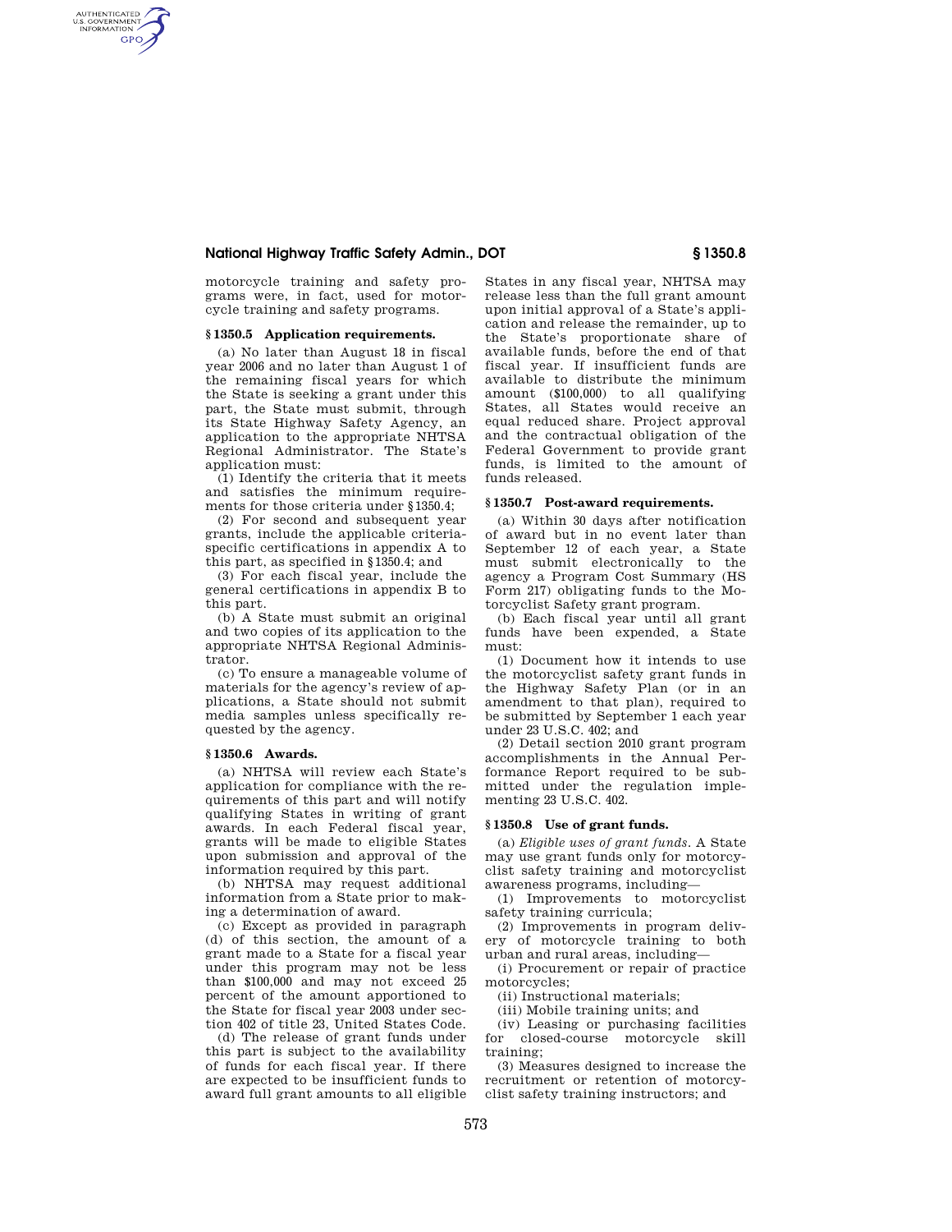## **National Highway Traffic Safety Admin., DOT § 1350.8**

motorcycle training and safety programs were, in fact, used for motorcycle training and safety programs.

## **§ 1350.5 Application requirements.**

AUTHENTICATED<br>U.S. GOVERNMENT<br>INFORMATION **GPO** 

> (a) No later than August 18 in fiscal year 2006 and no later than August 1 of the remaining fiscal years for which the State is seeking a grant under this part, the State must submit, through its State Highway Safety Agency, an application to the appropriate NHTSA Regional Administrator. The State's application must:

(1) Identify the criteria that it meets and satisfies the minimum requirements for those criteria under §1350.4;

(2) For second and subsequent year grants, include the applicable criteriaspecific certifications in appendix A to this part, as specified in §1350.4; and

(3) For each fiscal year, include the general certifications in appendix B to this part.

(b) A State must submit an original and two copies of its application to the appropriate NHTSA Regional Administrator.

(c) To ensure a manageable volume of materials for the agency's review of applications, a State should not submit media samples unless specifically requested by the agency.

## **§ 1350.6 Awards.**

(a) NHTSA will review each State's application for compliance with the requirements of this part and will notify qualifying States in writing of grant awards. In each Federal fiscal year, grants will be made to eligible States upon submission and approval of the information required by this part.

(b) NHTSA may request additional information from a State prior to making a determination of award.

(c) Except as provided in paragraph (d) of this section, the amount of a grant made to a State for a fiscal year under this program may not be less than \$100,000 and may not exceed 25 percent of the amount apportioned to the State for fiscal year 2003 under section 402 of title 23, United States Code.

(d) The release of grant funds under this part is subject to the availability of funds for each fiscal year. If there are expected to be insufficient funds to award full grant amounts to all eligible

States in any fiscal year, NHTSA may release less than the full grant amount upon initial approval of a State's application and release the remainder, up to the State's proportionate share of available funds, before the end of that fiscal year. If insufficient funds are available to distribute the minimum amount (\$100,000) to all qualifying States, all States would receive an equal reduced share. Project approval and the contractual obligation of the Federal Government to provide grant funds, is limited to the amount of funds released.

## **§ 1350.7 Post-award requirements.**

(a) Within 30 days after notification of award but in no event later than September 12 of each year, a State must submit electronically to the agency a Program Cost Summary (HS Form 217) obligating funds to the Motorcyclist Safety grant program.

(b) Each fiscal year until all grant funds have been expended, a State must:

(1) Document how it intends to use the motorcyclist safety grant funds in the Highway Safety Plan (or in an amendment to that plan), required to be submitted by September 1 each year under 23 U.S.C. 402; and

(2) Detail section 2010 grant program accomplishments in the Annual Performance Report required to be submitted under the regulation implementing 23 U.S.C. 402.

#### **§ 1350.8 Use of grant funds.**

(a) *Eligible uses of grant funds.* A State may use grant funds only for motorcyclist safety training and motorcyclist awareness programs, including—

(1) Improvements to motorcyclist safety training curricula;

(2) Improvements in program delivery of motorcycle training to both urban and rural areas, including—

(i) Procurement or repair of practice motorcycles;

(ii) Instructional materials;

(iii) Mobile training units; and

(iv) Leasing or purchasing facilities for closed-course motorcycle skill training;

(3) Measures designed to increase the recruitment or retention of motorcyclist safety training instructors; and